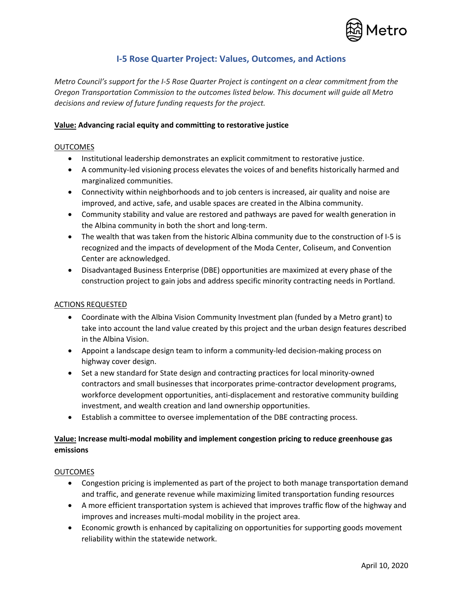

# **I-5 Rose Quarter Project: Values, Outcomes, and Actions**

*Metro Council's support for the I-5 Rose Quarter Project is contingent on a clear commitment from the Oregon Transportation Commission to the outcomes listed below. This document will guide all Metro decisions and review of future funding requests for the project.*

#### **Value: Advancing racial equity and committing to restorative justice**

#### OUTCOMES

- Institutional leadership demonstrates an explicit commitment to restorative justice.
- A community-led visioning process elevates the voices of and benefits historically harmed and marginalized communities.
- Connectivity within neighborhoods and to job centers is increased, air quality and noise are improved, and active, safe, and usable spaces are created in the Albina community.
- Community stability and value are restored and pathways are paved for wealth generation in the Albina community in both the short and long-term.
- The wealth that was taken from the historic Albina community due to the construction of I-5 is recognized and the impacts of development of the Moda Center, Coliseum, and Convention Center are acknowledged.
- Disadvantaged Business Enterprise (DBE) opportunities are maximized at every phase of the construction project to gain jobs and address specific minority contracting needs in Portland.

# ACTIONS REQUESTED

- Coordinate with the Albina Vision Community Investment plan (funded by a Metro grant) to take into account the land value created by this project and the urban design features described in the Albina Vision.
- Appoint a landscape design team to inform a community-led decision-making process on highway cover design.
- Set a new standard for State design and contracting practices for local minority-owned contractors and small businesses that incorporates prime-contractor development programs, workforce development opportunities, anti-displacement and restorative community building investment, and wealth creation and land ownership opportunities.
- Establish a committee to oversee implementation of the DBE contracting process.

# **Value: Increase multi-modal mobility and implement congestion pricing to reduce greenhouse gas emissions**

#### **OUTCOMES**

- Congestion pricing is implemented as part of the project to both manage transportation demand and traffic, and generate revenue while maximizing limited transportation funding resources
- A more efficient transportation system is achieved that improves traffic flow of the highway and improves and increases multi-modal mobility in the project area.
- Economic growth is enhanced by capitalizing on opportunities for supporting goods movement reliability within the statewide network.